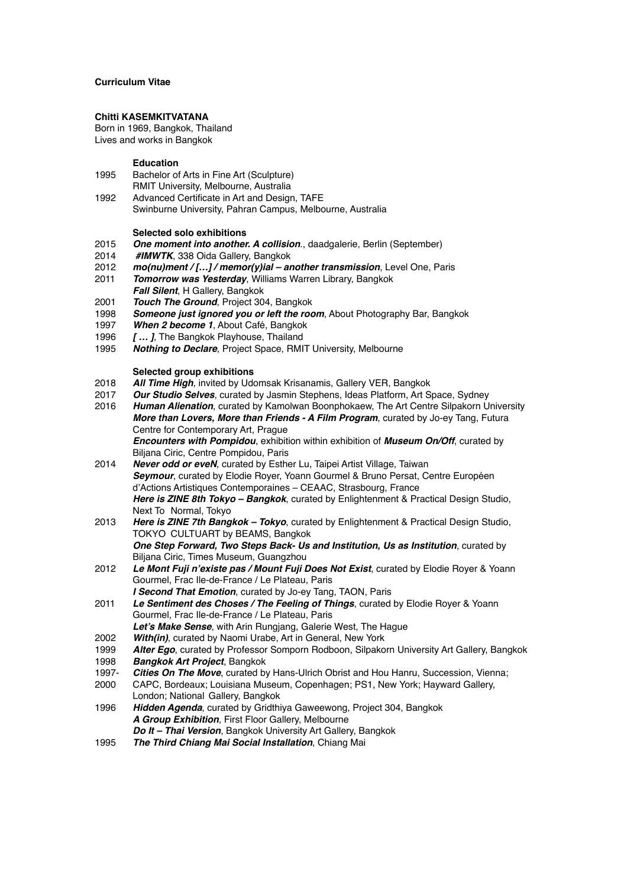# **Curriculum Vitae**

## **Chitti KASEMKITVATANA**

Born in 1969, Bangkok, Thailand Lives and works in Bangkok

## **Education**

- 1995 Bachelor of Arts in Fine Art (Sculpture) RMIT University, Melbourne, Australia
- 1992 Advanced Certificate in Art and Design, TAFE Swinburne University, Pahran Campus, Melbourne, Australia

#### **Selected solo exhibitions**

- 2015 *One moment into another. A collision*., daadgalerie, Berlin (September)
- 2014 *#IMWTK*, 338 Oida Gallery, Bangkok
- 2012 *mo(nu)ment / […] / memor(y)ial another transmission*, Level One, Paris
- 2011 *Tomorrow was Yesterday*, Williams Warren Library, Bangkok *Fall Silent*, H Gallery, Bangkok
- 2001 *Touch The Ground*, Project 304, Bangkok
- 1998 *Someone just ignored you or left the room*, About Photography Bar, Bangkok
- 1997 *When 2 become 1*, About Café, Bangkok
- 1996 *[ … ]*, The Bangkok Playhouse, Thailand
- 1995 *Nothing to Declare*, Project Space, RMIT University, Melbourne

#### **Selected group exhibitions**

- 2018 *All Time High,* invited by Udomsak Krisanamis, Gallery VER, Bangkok
- 2017 *Our Studio Selves*, curated by Jasmin Stephens, Ideas Platform, Art Space, Sydney
- 2016 *Human Alienation*, curated by Kamolwan Boonphokaew, The Art Centre Silpakorn University *More than Lovers, More than Friends - A Film Program*, curated by Jo-ey Tang, Futura Centre for Contemporary Art, Prague *Encounters with Pompidou*, exhibition within exhibition of *Museum On/Off*, curated by
- Biljana Ciric, Centre Pompidou, Paris 2014 *Never odd or eveN*, curated by Esther Lu, Taipei Artist Village, Taiwan *Seymour*, curated by Elodie Royer, Yoann Gourmel & Bruno Persat, Centre Européen d'Actions Artistiques Contemporaines – CEAAC, Strasbourg, France *Here is ZINE 8th Tokyo – Bangkok*, curated by Enlightenment & Practical Design Studio, Next To Normal, Tokyo
- 2013 *Here is ZINE 7th Bangkok Tokyo*, curated by Enlightenment & Practical Design Studio, TOKYO CULTUART by BEAMS, Bangkok *One Step Forward, Two Steps Back- Us and Institution, Us as Institution*, curated by Biljana Ciric, Times Museum, Guangzhou
- 2012 *Le Mont Fuji n'existe pas / Mount Fuji Does Not Exist*, curated by Elodie Royer & Yoann Gourmel, Frac Ile-de-France / Le Plateau, Paris *I Second That Emotion*, curated by Jo-ey Tang, TAON, Paris
- 2011 *Le Sentiment des Choses / The Feeling of Things*, curated by Elodie Royer & Yoann Gourmel, Frac Ile-de-France / Le Plateau, Paris
- *Let's Make Sense*, with Arin Rungjang, Galerie West, The Hague
- 2002 *With(in)*, curated by Naomi Urabe, Art in General, New York
- 1999 *Alter Ego*, curated by Professor Somporn Rodboon, Silpakorn University Art Gallery, Bangkok
- 1998 *Bangkok Art Project*, Bangkok
- 1997- **Cities On The Move**, curated by Hans-Ulrich Obrist and Hou Hanru, Succession, Vienna;<br>2000 CAPC, Bordeaux: Louisiana Museum, Copenhagen: PS1, New York: Hayward Gallery.
- CAPC, Bordeaux; Louisiana Museum, Copenhagen; PS1, New York; Hayward Gallery, London; National Gallery, Bangkok
- 1996 *Hidden Agenda*, curated by Gridthiya Gaweewong, Project 304, Bangkok *A Group Exhibition*, First Floor Gallery, Melbourne *Do It – Thai Version*, Bangkok University Art Gallery, Bangkok
- 1995 *The Third Chiang Mai Social Installation*, Chiang Mai